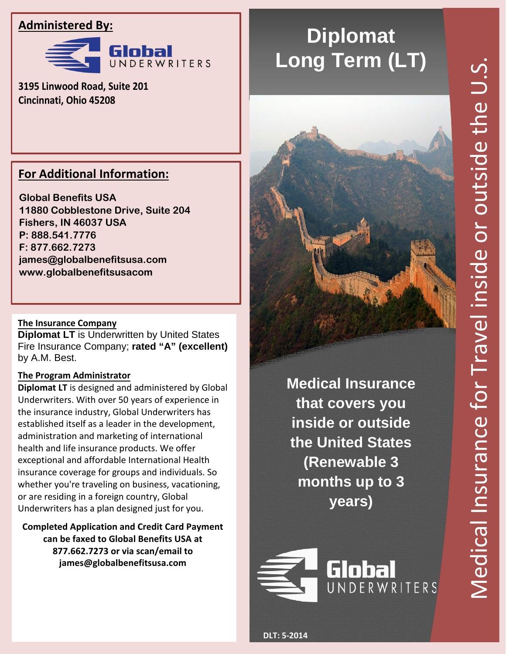# Medical Insurance for Travel inside or outside the U.S. Medical Insurance for Travel inside or outside the U.S

# **Administered By:**



**3195 Linwood Road, Suite 201 Cincinnati, Ohio 45208** 

## **For Additional Information:**

**Global Benefits USA 11880 Cobblestone Drive, Suite 204 Fishers, IN 46037 USA P: 888.541.7776 F: 877.662.7273 james@globalbenefitsusa.com www.globalbenefitsusacom**

### **The Insurance Company**

**Diplomat LT** is Underwritten by United States Fire Insurance Company; **rated "A" (excellent)** by A.M. Best.

### **The Program Administrator**

**Diplomat LT** is designed and administered by Global Underwriters. With over 50 years of experience in the insurance industry, Global Underwriters has established itself as a leader in the development, administration and marketing of international health and life insurance products. We offer exceptional and affordable International Health insurance coverage for groups and individuals. So whether you're traveling on business, vacationing, or are residing in a foreign country, Global Underwriters has a plan designed just for you.

**Completed Application and Credit Card Payment can be faxed to Global Benefits USA at 877.662.7273 or via scan/email to james@globalbenefitsusa.com**

# **Diplomat Long Term (LT)**



**Medical Insurance that covers you inside or outside the United States (Renewable 3 months up to 3 years)** 

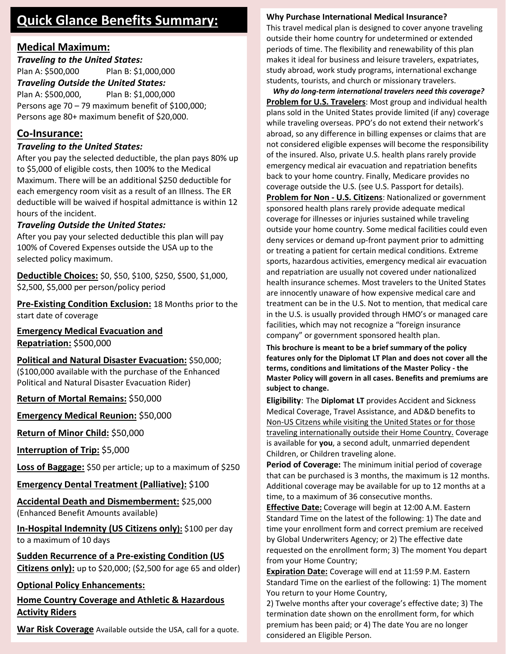# **Quick Glance Benefits Summary:**

### **Medical Maximum:**

*Traveling to the United States:* 

Plan A: \$500,000 Plan B: \$1,000,000

*Traveling Outside the United States:*  Plan A: \$500,000, Plan B: \$1,000,000

Persons age 70 – 79 maximum benefit of \$100,000; Persons age 80+ maximum benefit of \$20,000.

### **Co-Insurance:**

### *Traveling to the United States:*

After you pay the selected deductible, the plan pays 80% up to \$5,000 of eligible costs, then 100% to the Medical Maximum. There will be an additional \$250 deductible for each emergency room visit as a result of an Illness. The ER deductible will be waived if hospital admittance is within 12 hours of the incident.

### *Traveling Outside the United States:*

After you pay your selected deductible this plan will pay 100% of Covered Expenses outside the USA up to the selected policy maximum.

**Deductible Choices:** \$0, \$50, \$100, \$250, \$500, \$1,000, \$2,500, \$5,000 per person/policy period

**Pre-Existing Condition Exclusion:** 18 Months prior to the start date of coverage

**Emergency Medical Evacuation and Repatriation:** \$500,000

**Political and Natural Disaster Evacuation:** \$50,000; (\$100,000 available with the purchase of the Enhanced Political and Natural Disaster Evacuation Rider)

**Return of Mortal Remains:** \$50,000

**Emergency Medical Reunion:** \$50,000

**Return of Minor Child:** \$50,000

**Interruption of Trip:** \$5,000

**Loss of Baggage:** \$50 per article; up to a maximum of \$250

**Emergency Dental Treatment (Palliative):** \$100

**Accidental Death and Dismemberment:** \$25,000 (Enhanced Benefit Amounts available)

**In-Hospital Indemnity (US Citizens only):** \$100 per day to a maximum of 10 days

**Sudden Recurrence of a Pre-existing Condition (US Citizens only):** up to \$20,000; (\$2,500 for age 65 and older)

**Optional Policy Enhancements:**

### **Home Country Coverage and Athletic & Hazardous Activity Riders**

**War Risk Coverage** Available outside the USA, call for a quote.

### **Why Purchase International Medical Insurance?**

This travel medical plan is designed to cover anyone traveling outside their home country for undetermined or extended periods of time. The flexibility and renewability of this plan makes it ideal for business and leisure travelers, expatriates, study abroad, work study programs, international exchange students, tourists, and church or missionary travelers.

*Why do long-term international travelers need this coverage?* **Problem for U.S. Travelers**: Most group and individual health plans sold in the United States provide limited (if any) coverage while traveling overseas. PPO's do not extend their network's abroad, so any difference in billing expenses or claims that are not considered eligible expenses will become the responsibility of the insured. Also, private U.S. health plans rarely provide emergency medical air evacuation and repatriation benefits back to your home country. Finally, Medicare provides no coverage outside the U.S. (see U.S. Passport for details). **Problem for Non - U.S. Citizens**: Nationalized or government sponsored health plans rarely provide adequate medical coverage for illnesses or injuries sustained while traveling outside your home country. Some medical facilities could even deny services or demand up-front payment prior to admitting or treating a patient for certain medical conditions. Extreme sports, hazardous activities, emergency medical air evacuation and repatriation are usually not covered under nationalized health insurance schemes. Most travelers to the United States are innocently unaware of how expensive medical care and treatment can be in the U.S. Not to mention, that medical care in the U.S. is usually provided through HMO's or managed care facilities, which may not recognize a "foreign insurance company" or government sponsored health plan.

**This brochure is meant to be a brief summary of the policy features only for the Diplomat LT Plan and does not cover all the terms, conditions and limitations of the Master Policy - the Master Policy will govern in all cases. Benefits and premiums are subject to change.**

**Eligibility**: The **Diplomat LT** provides Accident and Sickness Medical Coverage, Travel Assistance, and AD&D benefits to Non-US Citzens while visiting the United States or for those traveling internationally outside their Home Country. Coverage is available for **you**, a second adult, unmarried dependent Children, or Children traveling alone.

**Period of Coverage:** The minimum initial period of coverage that can be purchased is 3 months, the maximum is 12 months. Additional coverage may be available for up to 12 months at a time, to a maximum of 36 consecutive months.

**Effective Date:** Coverage will begin at 12:00 A.M. Eastern Standard Time on the latest of the following: 1) The date and time your enrollment form and correct premium are received by Global Underwriters Agency; or 2) The effective date requested on the enrollment form; 3) The moment You depart from your Home Country;

**Expiration Date:** Coverage will end at 11:59 P.M. Eastern Standard Time on the earliest of the following: 1) The moment You return to your Home Country,

2) Twelve months after your coverage's effective date; 3) The termination date shown on the enrollment form, for which premium has been paid; or 4) The date You are no longer considered an Eligible Person.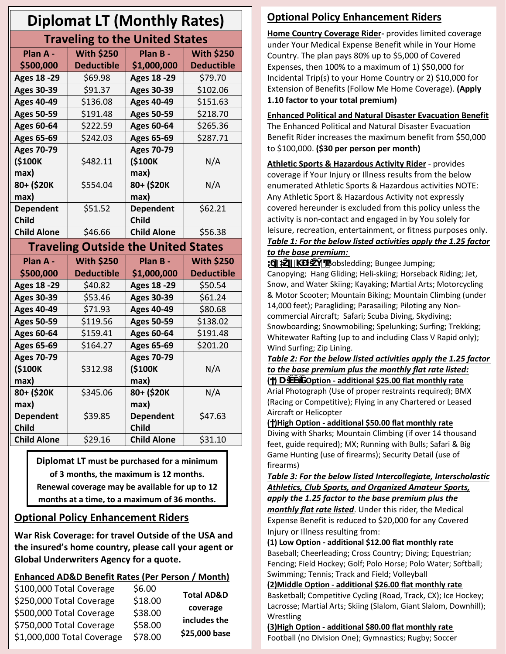| <b>Diplomat LT (Monthly Rates)</b>         |                   |                    |                   |
|--------------------------------------------|-------------------|--------------------|-------------------|
| <b>Traveling to the United States</b>      |                   |                    |                   |
| Plan A -                                   | <b>With \$250</b> | Plan B -           | <b>With \$250</b> |
| \$500,000                                  | <b>Deductible</b> | \$1,000,000        | <b>Deductible</b> |
| <b>Ages 18 -29</b>                         | \$69.98           | <b>Ages 18 -29</b> | \$79.70           |
| <b>Ages 30-39</b>                          | \$91.37           | <b>Ages 30-39</b>  | \$102.06          |
| <b>Ages 40-49</b>                          | \$136.08          | <b>Ages 40-49</b>  | \$151.63          |
| <b>Ages 50-59</b>                          | \$191.48          | <b>Ages 50-59</b>  | \$218.70          |
| <b>Ages 60-64</b>                          | \$222.59          | <b>Ages 60-64</b>  | \$265.36          |
| <b>Ages 65-69</b>                          | \$242.03          | <b>Ages 65-69</b>  | \$287.71          |
| <b>Ages 70-79</b>                          |                   | <b>Ages 70-79</b>  |                   |
| (\$100K                                    | \$482.11          | (\$100K            | N/A               |
| max)                                       |                   | max)               |                   |
| 80+ (\$20K                                 | \$554.04          | 80+ (\$20K         | N/A               |
| max)                                       |                   | max)               |                   |
| <b>Dependent</b>                           | \$51.52           | <b>Dependent</b>   | \$62.21           |
| <b>Child</b>                               |                   | <b>Child</b>       |                   |
| <b>Child Alone</b>                         | \$46.66           | <b>Child Alone</b> | \$56.38           |
| <b>Traveling Outside the United States</b> |                   |                    |                   |
| Plan A -                                   | <b>With \$250</b> | Plan B -           | <b>With \$250</b> |
| \$500,000                                  | <b>Deductible</b> | \$1,000,000        | <b>Deductible</b> |
| <b>Ages 18 -29</b>                         | \$40.82           | <b>Ages 18 -29</b> | \$50.54           |
| <b>Ages 30-39</b>                          | \$53.46           | <b>Ages 30-39</b>  | \$61.24           |
| <b>Ages 40-49</b>                          | \$71.93           | <b>Ages 40-49</b>  | \$80.68           |
| <b>Ages 50-59</b>                          | \$119.56          | <b>Ages 50-59</b>  | \$138.02          |
| <b>Ages 60-64</b>                          | \$159.41          | <b>Ages 60-64</b>  | \$191.48          |
| <b>Ages 65-69</b>                          | \$164.27          | <b>Ages 65-69</b>  | \$201.20          |
| <b>Ages 70-79</b>                          |                   | <b>Ages 70-79</b>  |                   |
| (\$100K                                    | \$312.98          | (\$100K            | N/A               |
| max)                                       |                   | max)               |                   |
| 80+ (\$20K                                 | \$345.06          | 80+ (\$20K         | N/A               |
| max)                                       |                   | max)               |                   |
| <b>Dependent</b>                           | \$39.85           | <b>Dependent</b>   | \$47.63           |
| <b>Child</b>                               |                   | <b>Child</b>       |                   |
| <b>Child Alone</b>                         | \$29.16           | <b>Child Alone</b> | \$31.10           |

**Diplomat LT must be purchased for a minimum of 3 months, the maximum is 12 months. Renewal coverage may be available for up to 12 months at a time, to a maximum of 36 months.**

### **Optional Policy Enhancement Riders**

**War Risk Coverage: for travel Outside of the USA and the insured's home country, please call your agent or Global Underwriters Agency for a quote.**

### **Enhanced AD&D Benefit Rates (Per Person / Month)**

| \$100,000 Total Coverage   | \$6.00  | <b>Total AD&amp;D</b> |
|----------------------------|---------|-----------------------|
| \$250,000 Total Coverage   | \$18.00 |                       |
| \$500,000 Total Coverage   | \$38.00 | coverage              |
| \$750,000 Total Coverage   | \$58.00 | includes the          |
| \$1,000,000 Total Coverage | \$78.00 | \$25,000 base         |

# **Optional Policy Enhancement Riders**

**Home Country Coverage Rider-** provides limited coverage under Your Medical Expense Benefit while in Your Home Country. The plan pays 80% up to \$5,000 of Covered Expenses, then 100% to a maximum of 1) \$50,000 for Incidental Trip(s) to your Home Country or 2) \$10,000 for Extension of Benefits (Follow Me Home Coverage). **(Apply 1.10 factor to your total premium)** 

### **Enhanced Political and Natural Disaster Evacuation Benefit**

The Enhanced Political and Natural Disaster Evacuation Benefit Rider increases the maximum benefit from \$50,000 to \$100,000. **(\$30 per person per month)**

**Athletic Sports & Hazardous Activity Rider** - provides coverage if Your Injury or Illness results from the below enumerated Athletic Sports & Hazardous activities NOTE: Any Athletic Sport & Hazardous Activity not expressly covered hereunder is excluded from this policy unless the activity is non-contact and engaged in by You solely for leisure, recreation, entertainment, or fitness purposes only. *Table 1: For the below listed activities apply the 1.25 factor to the base premium:* 

**iO** \ iddisledding; Bungee Jumping; Canopying; Hang Gliding; Heli-skiing; Horseback Riding; Jet, Snow, and Water Skiing; Kayaking; Martial Arts; Motorcycling & Motor Scooter; Mountain Biking; Mountain Climbing (under 14,000 feet); Paragliding; Parasailing; Piloting any Noncommercial Aircraft; Safari; Scuba Diving, Skydiving; Snowboarding; Snowmobiling; Spelunking; Surfing; Trekking; Whitewater Rafting (up to and including Class V Rapid only); Wind Surfing; Zip Lining.

### *Table 2: For the below listed activities apply the 1.25 factor to the base premium plus the monthly flat rate listed:*  **( ) DŝĚĚůĞ Option - additional \$25.00 flat monthly rate**

Arial Photograph (Use of proper restraints required); BMX (Racing or Competitive); Flying in any Chartered or Leased Aircraft or Helicopter

### **( )High Option - additional \$50.00 flat monthly rate**

Diving with Sharks; Mountain Climbing (if over 14 thousand feet, guide required); MX; Running with Bulls; Safari & Big Game Hunting (use of firearms); Security Detail (use of firearms)

*Table 3: For the below listed Intercollegiate, Interscholastic Athletics, Club Sports, and Organized Amateur Sports, apply the 1.25 factor to the base premium plus the monthly flat rate listed*. Under this rider, the Medical Expense Benefit is reduced to \$20,000 for any Covered

Injury or Illness resulting from:

### **(1) Low Option - additional \$12.00 flat monthly rate**

Baseball; Cheerleading; Cross Country; Diving; Equestrian; Fencing; Field Hockey; Golf; Polo Horse; Polo Water; Softball; Swimming; Tennis; Track and Field; Volleyball

**(2)Middle Option - additional \$26.00 flat monthly rate** Basketball; Competitive Cycling (Road, Track, CX); Ice Hockey; Lacrosse; Martial Arts; Skiing (Slalom, Giant Slalom, Downhill); Wrestling

**(3)High Option - additional \$80.00 flat monthly rate** Football (no Division One); Gymnastics; Rugby; Soccer